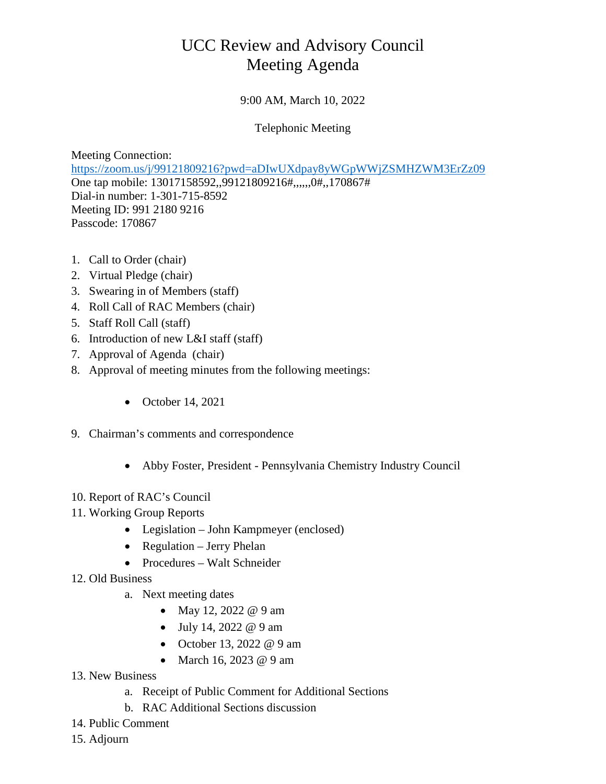## UCC Review and Advisory Council Meeting Agenda

## 9:00 AM, March 10, 2022

## Telephonic Meeting

Meeting Connection: [https://zoom.us/j/99121809216?pwd=aDIwUXdpay8yWGpWWjZSMHZWM3ErZz09](https://gcc01.safelinks.protection.outlook.com/?url=https%3A%2F%2Fzoom.us%2Fj%2F99121809216%3Fpwd%3DaDIwUXdpay8yWGpWWjZSMHZWM3ErZz09&data=04%7C01%7Ckrgardner%40pa.gov%7Ce1e04432a29b484ba6b508d87a98d9ee%7C418e284101284dd59b6c47fc5a9a1bde%7C0%7C0%7C637394144947726506%7CUnknown%7CTWFpbGZsb3d8eyJWIjoiMC4wLjAwMDAiLCJQIjoiV2luMzIiLCJBTiI6Ik1haWwiLCJXVCI6Mn0%3D%7C0&sdata=xwNC7Fs5XizRLVccy06tAjyY4SRQ7zaIJjDhyQzE0LA%3D&reserved=0) One tap mobile: 13017158592,,99121809216#,,,,,,0#,,170867# Dial-in number: 1-301-715-8592 Meeting ID: 991 2180 9216 Passcode: 170867

- 1. Call to Order (chair)
- 2. Virtual Pledge (chair)
- 3. Swearing in of Members (staff)
- 4. Roll Call of RAC Members (chair)
- 5. Staff Roll Call (staff)
- 6. Introduction of new L&I staff (staff)
- 7. Approval of Agenda (chair)
- 8. Approval of meeting minutes from the following meetings:
	- October 14, 2021
- 9. Chairman's comments and correspondence
	- Abby Foster, President Pennsylvania Chemistry Industry Council
- 10. Report of RAC's Council
- 11. Working Group Reports
	- Legislation John Kampmeyer (enclosed)
	- Regulation Jerry Phelan
	- Procedures Walt Schneider
- 12. Old Business
	- a. Next meeting dates
		- May 12, 2022 @ 9 am
		- July 14, 2022  $@9$  am
		- October 13, 2022 @ 9 am
		- March 16, 2023 @ 9 am
- 13. New Business
	- a. Receipt of Public Comment for Additional Sections
	- b. RAC Additional Sections discussion
- 14. Public Comment
- 15. Adjourn